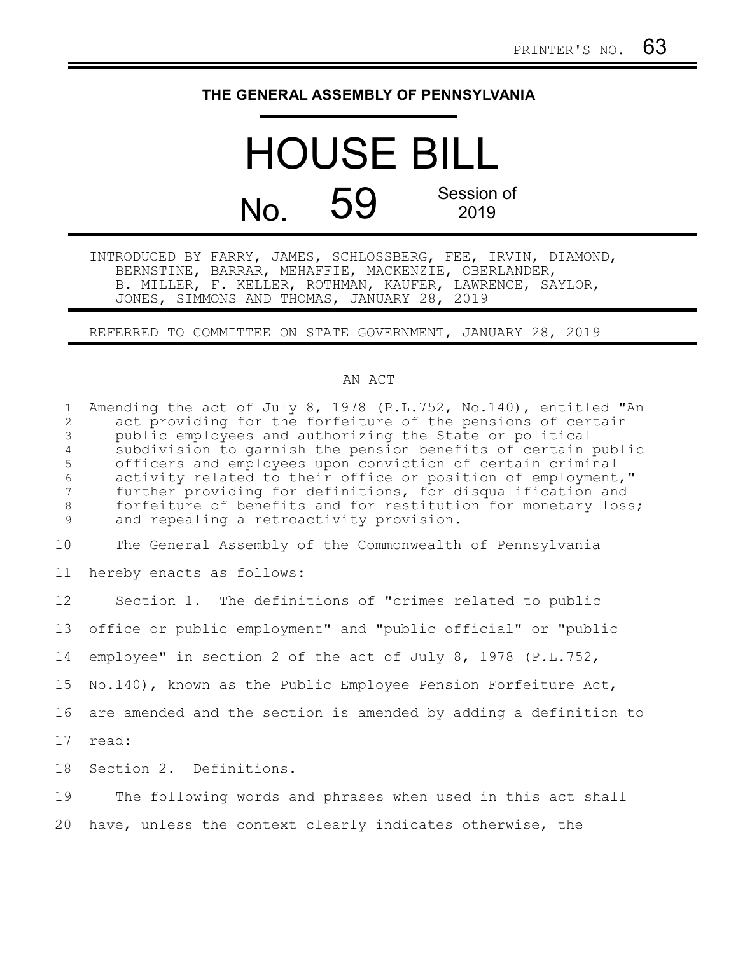## **THE GENERAL ASSEMBLY OF PENNSYLVANIA**

## HOUSE BILL  $N<sub>0</sub>$  59 Session of 2019

INTRODUCED BY FARRY, JAMES, SCHLOSSBERG, FEE, IRVIN, DIAMOND, BERNSTINE, BARRAR, MEHAFFIE, MACKENZIE, OBERLANDER, B. MILLER, F. KELLER, ROTHMAN, KAUFER, LAWRENCE, SAYLOR, JONES, SIMMONS AND THOMAS, JANUARY 28, 2019

REFERRED TO COMMITTEE ON STATE GOVERNMENT, JANUARY 28, 2019

## AN ACT

Amending the act of July 8, 1978 (P.L.752, No.140), entitled "An act providing for the forfeiture of the pensions of certain public employees and authorizing the State or political subdivision to garnish the pension benefits of certain public officers and employees upon conviction of certain criminal activity related to their office or position of employment," further providing for definitions, for disqualification and forfeiture of benefits and for restitution for monetary loss; and repealing a retroactivity provision. The General Assembly of the Commonwealth of Pennsylvania hereby enacts as follows: Section 1. The definitions of "crimes related to public office or public employment" and "public official" or "public employee" in section 2 of the act of July 8, 1978 (P.L.752, No.140), known as the Public Employee Pension Forfeiture Act, are amended and the section is amended by adding a definition to read: Section 2. Definitions. The following words and phrases when used in this act shall 1 2 3 4 5 6 7 8 9 10 11 12 13 14 15 16 17 18 19

have, unless the context clearly indicates otherwise, the 20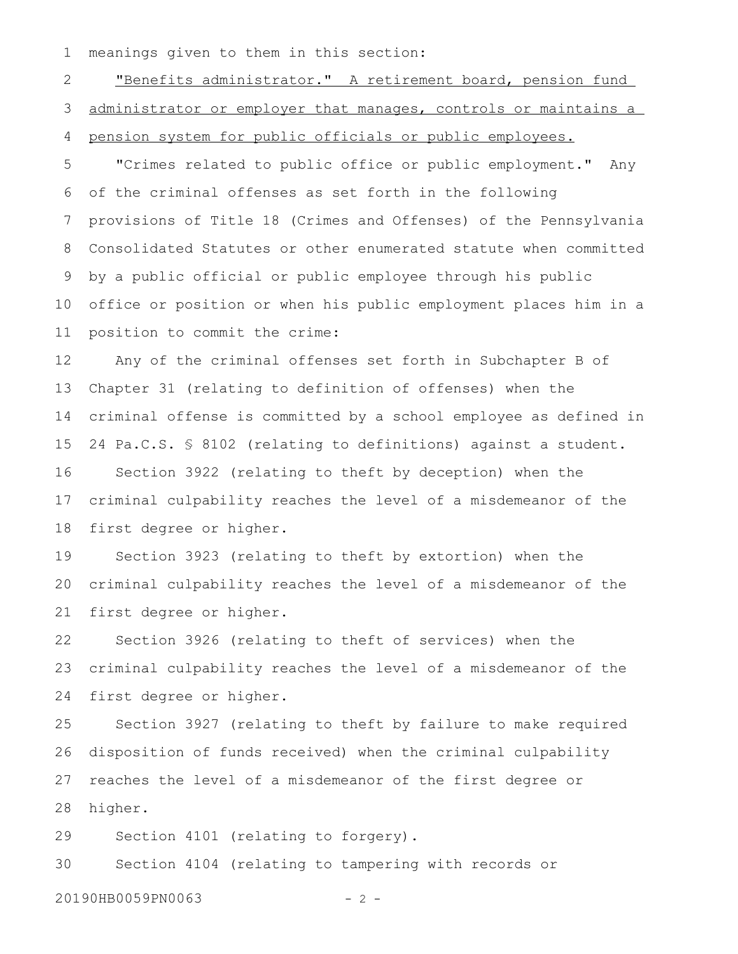meanings given to them in this section: 1

"Benefits administrator." A retirement board, pension fund administrator or employer that manages, controls or maintains a pension system for public officials or public employees. 2 3 4

"Crimes related to public office or public employment." Any of the criminal offenses as set forth in the following provisions of Title 18 (Crimes and Offenses) of the Pennsylvania Consolidated Statutes or other enumerated statute when committed by a public official or public employee through his public office or position or when his public employment places him in a position to commit the crime: 5 6 7 8 9 10 11

Any of the criminal offenses set forth in Subchapter B of Chapter 31 (relating to definition of offenses) when the criminal offense is committed by a school employee as defined in 24 Pa.C.S. § 8102 (relating to definitions) against a student. Section 3922 (relating to theft by deception) when the criminal culpability reaches the level of a misdemeanor of the first degree or higher. 12 13 14 15 16 17 18

Section 3923 (relating to theft by extortion) when the criminal culpability reaches the level of a misdemeanor of the first degree or higher. 19 20 21

Section 3926 (relating to theft of services) when the criminal culpability reaches the level of a misdemeanor of the first degree or higher. 22 23 24

Section 3927 (relating to theft by failure to make required disposition of funds received) when the criminal culpability reaches the level of a misdemeanor of the first degree or higher. 25 26 27 28

Section 4101 (relating to forgery). 29

Section 4104 (relating to tampering with records or 30

20190HB0059PN0063 - 2 -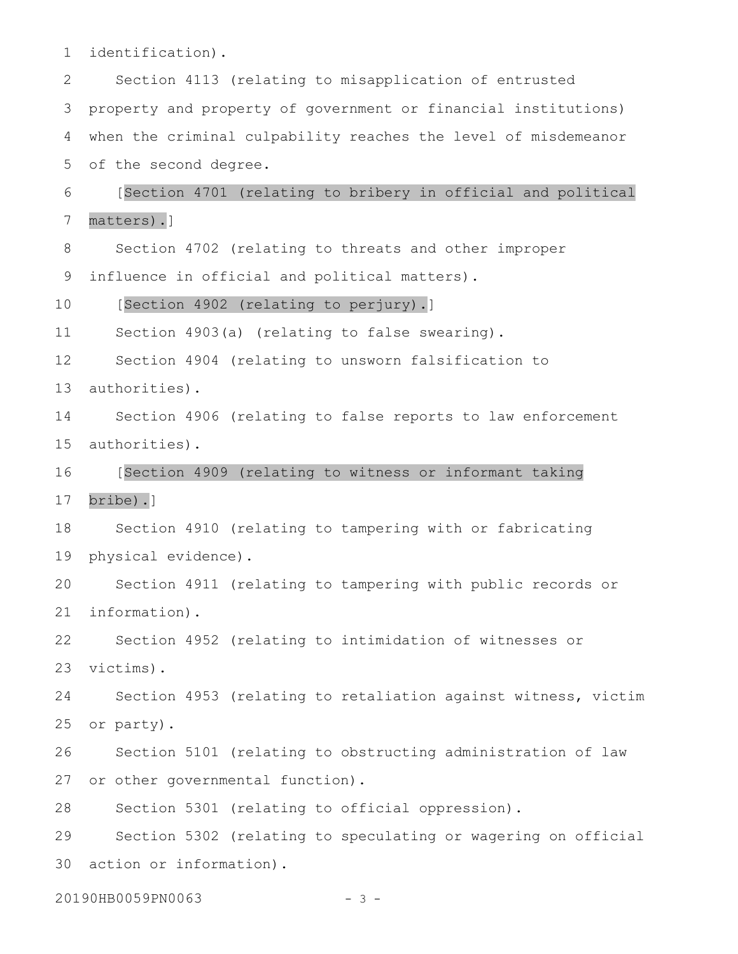identification). 1

Section 4113 (relating to misapplication of entrusted property and property of government or financial institutions) when the criminal culpability reaches the level of misdemeanor of the second degree. 2 3 4 5

[Section 4701 (relating to bribery in official and political matters).] 6 7

Section 4702 (relating to threats and other improper 8

influence in official and political matters). 9

[Section 4902 (relating to perjury).] 10

Section 4903(a) (relating to false swearing). 11

Section 4904 (relating to unsworn falsification to 12

authorities). 13

Section 4906 (relating to false reports to law enforcement authorities). 14 15

[Section 4909 (relating to witness or informant taking 16

bribe).] 17

Section 4910 (relating to tampering with or fabricating physical evidence). 18 19

Section 4911 (relating to tampering with public records or information). 20 21

Section 4952 (relating to intimidation of witnesses or victims). 22 23

Section 4953 (relating to retaliation against witness, victim or party). 24 25

Section 5101 (relating to obstructing administration of law or other governmental function). 26 27

Section 5301 (relating to official oppression). 28

Section 5302 (relating to speculating or wagering on official action or information). 29 30

20190HB0059PN0063 - 3 -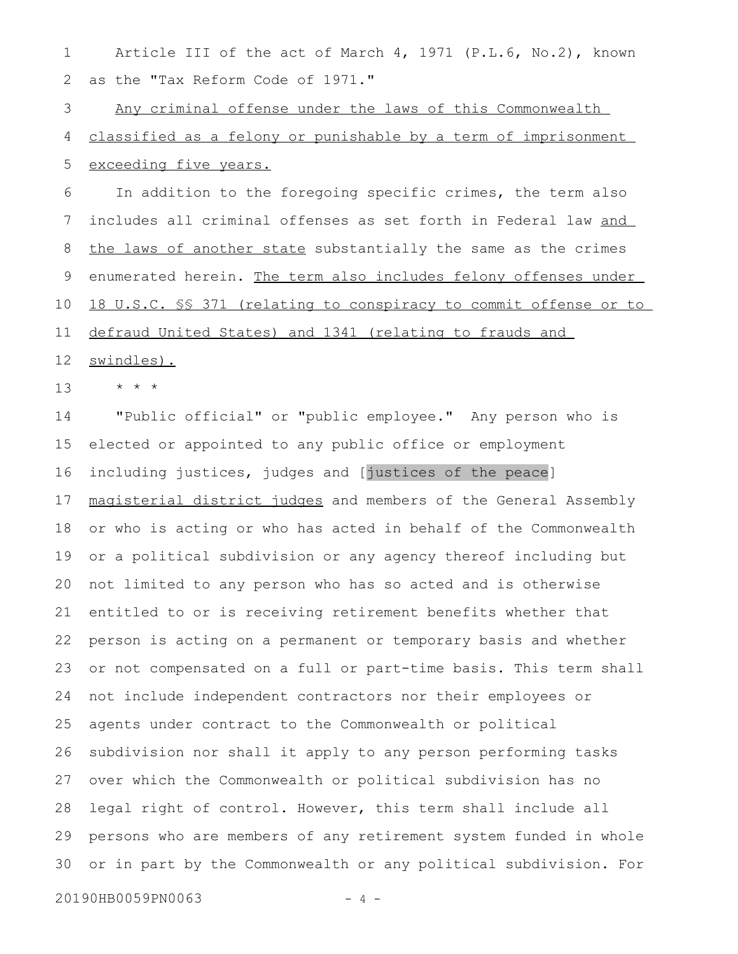Article III of the act of March 4, 1971 (P.L.6, No.2), known as the "Tax Reform Code of 1971." 1 2

Any criminal offense under the laws of this Commonwealth classified as a felony or punishable by a term of imprisonment exceeding five years. 3 4 5

In addition to the foregoing specific crimes, the term also includes all criminal offenses as set forth in Federal law and the laws of another state substantially the same as the crimes enumerated herein. The term also includes felony offenses under 18 U.S.C. §§ 371 (relating to conspiracy to commit offense or to defraud United States) and 1341 (relating to frauds and 6 7 8 9 10 11

swindles). 12

\* \* \* 13

"Public official" or "public employee." Any person who is elected or appointed to any public office or employment including justices, judges and [justices of the peace] magisterial district judges and members of the General Assembly or who is acting or who has acted in behalf of the Commonwealth or a political subdivision or any agency thereof including but not limited to any person who has so acted and is otherwise entitled to or is receiving retirement benefits whether that person is acting on a permanent or temporary basis and whether or not compensated on a full or part-time basis. This term shall not include independent contractors nor their employees or agents under contract to the Commonwealth or political subdivision nor shall it apply to any person performing tasks over which the Commonwealth or political subdivision has no legal right of control. However, this term shall include all persons who are members of any retirement system funded in whole or in part by the Commonwealth or any political subdivision. For 14 15 16 17 18 19 20 21 22 23 24 25 26 27 28 29 30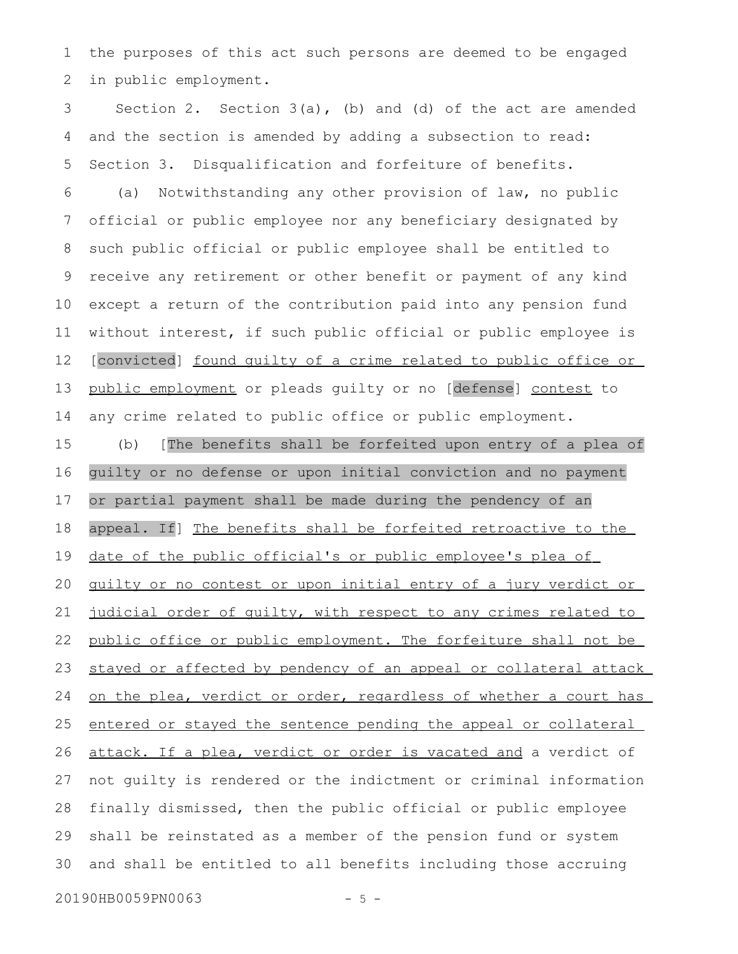the purposes of this act such persons are deemed to be engaged in public employment. 1 2

Section 2. Section  $3(a)$ , (b) and (d) of the act are amended and the section is amended by adding a subsection to read: Section 3. Disqualification and forfeiture of benefits. 3 4 5

(a) Notwithstanding any other provision of law, no public official or public employee nor any beneficiary designated by such public official or public employee shall be entitled to receive any retirement or other benefit or payment of any kind except a return of the contribution paid into any pension fund without interest, if such public official or public employee is [convicted] found quilty of a crime related to public office or public employment or pleads guilty or no [defense] contest to any crime related to public office or public employment. 6 7 8 9 10 11 12 13 14

(b) [The benefits shall be forfeited upon entry of a plea of guilty or no defense or upon initial conviction and no payment or partial payment shall be made during the pendency of an appeal. If] The benefits shall be forfeited retroactive to the date of the public official's or public employee's plea of guilty or no contest or upon initial entry of a jury verdict or judicial order of quilty, with respect to any crimes related to public office or public employment. The forfeiture shall not be stayed or affected by pendency of an appeal or collateral attack on the plea, verdict or order, regardless of whether a court has entered or stayed the sentence pending the appeal or collateral attack. If a plea, verdict or order is vacated and a verdict of not guilty is rendered or the indictment or criminal information finally dismissed, then the public official or public employee shall be reinstated as a member of the pension fund or system and shall be entitled to all benefits including those accruing 15 16 17 18 19 20 21 22 23 24 25 26 27 28 29 30

20190HB0059PN0063 - 5 -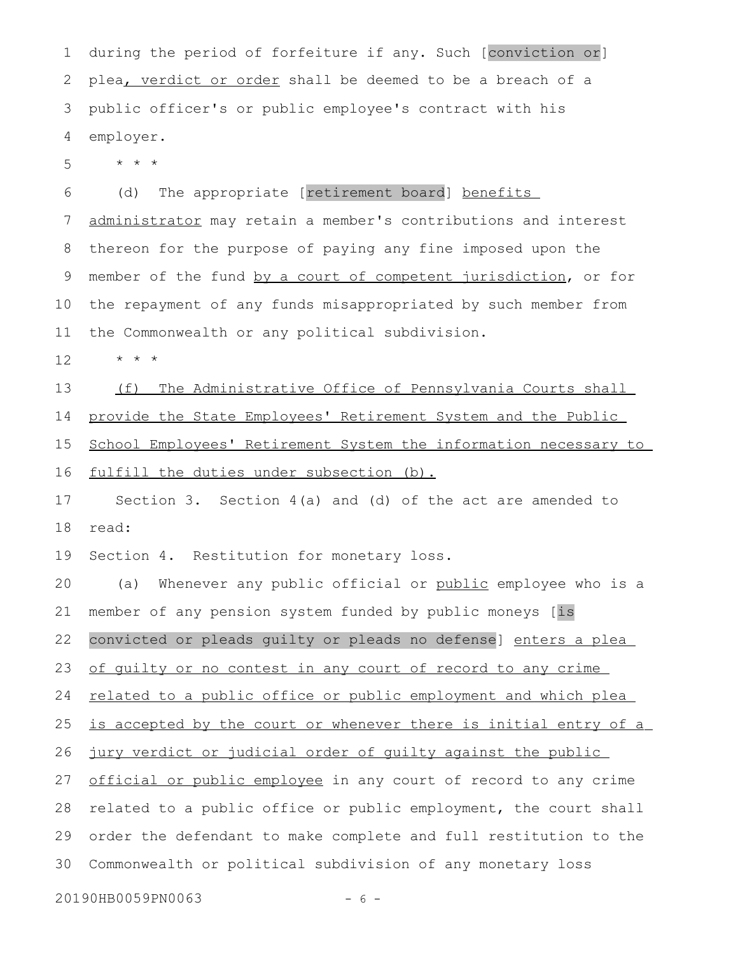during the period of forfeiture if any. Such [conviction or] plea, verdict or order shall be deemed to be a breach of a public officer's or public employee's contract with his employer. 1 2 3 4

\* \* \* 5

(d) The appropriate [retirement board] benefits administrator may retain a member's contributions and interest thereon for the purpose of paying any fine imposed upon the member of the fund by a court of competent jurisdiction, or for the repayment of any funds misappropriated by such member from the Commonwealth or any political subdivision. 6 7 8 9 10 11

\* \* \* 12

(f) The Administrative Office of Pennsylvania Courts shall provide the State Employees' Retirement System and the Public School Employees' Retirement System the information necessary to fulfill the duties under subsection (b). 13 14 15 16

Section 3. Section 4(a) and (d) of the act are amended to read: 17 18

Section 4. Restitution for monetary loss. 19

(a) Whenever any public official or public employee who is a member of any pension system funded by public moneys [is convicted or pleads guilty or pleads no defense] enters a plea of guilty or no contest in any court of record to any crime related to a public office or public employment and which plea is accepted by the court or whenever there is initial entry of a jury verdict or judicial order of guilty against the public official or public employee in any court of record to any crime related to a public office or public employment, the court shall order the defendant to make complete and full restitution to the Commonwealth or political subdivision of any monetary loss 20 21 22 23 24 25 26 27 28 29 30

20190HB0059PN0063 - 6 -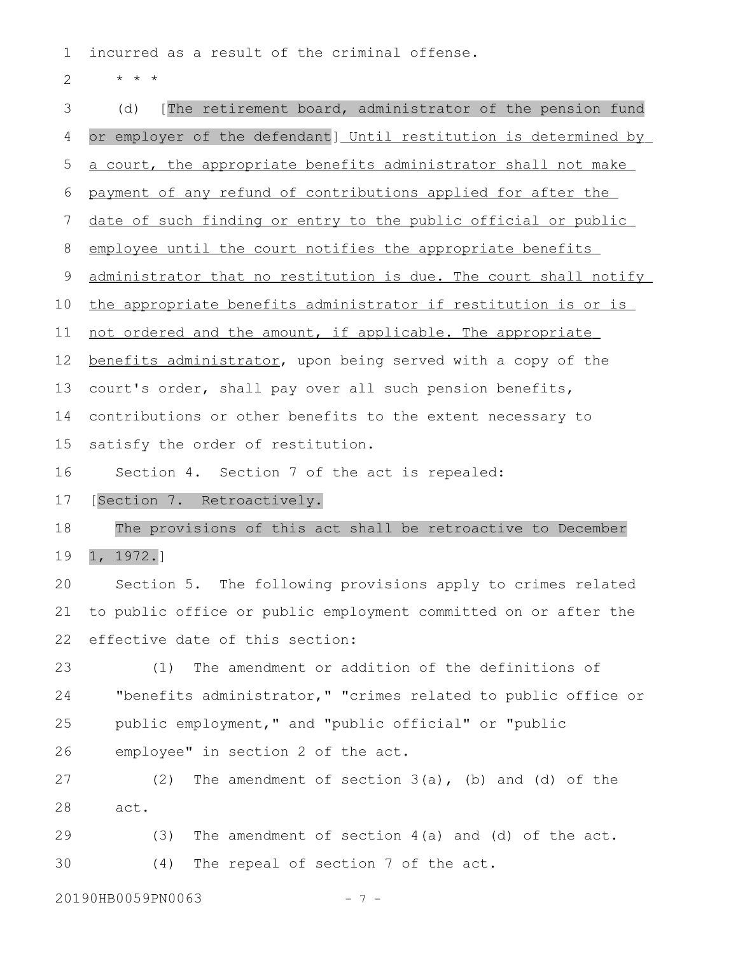incurred as a result of the criminal offense. 1

\* \* \* 2

(d) [The retirement board, administrator of the pension fund or employer of the defendant] Until restitution is determined by a court, the appropriate benefits administrator shall not make payment of any refund of contributions applied for after the date of such finding or entry to the public official or public employee until the court notifies the appropriate benefits administrator that no restitution is due. The court shall notify the appropriate benefits administrator if restitution is or is not ordered and the amount, if applicable. The appropriate benefits administrator, upon being served with a copy of the court's order, shall pay over all such pension benefits, contributions or other benefits to the extent necessary to satisfy the order of restitution. Section 4. Section 7 of the act is repealed: [Section 7. Retroactively. The provisions of this act shall be retroactive to December 1, 1972.] Section 5. The following provisions apply to crimes related to public office or public employment committed on or after the effective date of this section: (1) The amendment or addition of the definitions of "benefits administrator," "crimes related to public office or public employment," and "public official" or "public employee" in section 2 of the act. (2) The amendment of section 3(a), (b) and (d) of the act. (3) The amendment of section 4(a) and (d) of the act. (4) The repeal of section 7 of the act. 3 4 5 6 7 8 9 10 11 12 13 14 15 16 17 18 19 20 21 22 23 24 25 26 27 28 29 30

20190HB0059PN0063 - 7 -